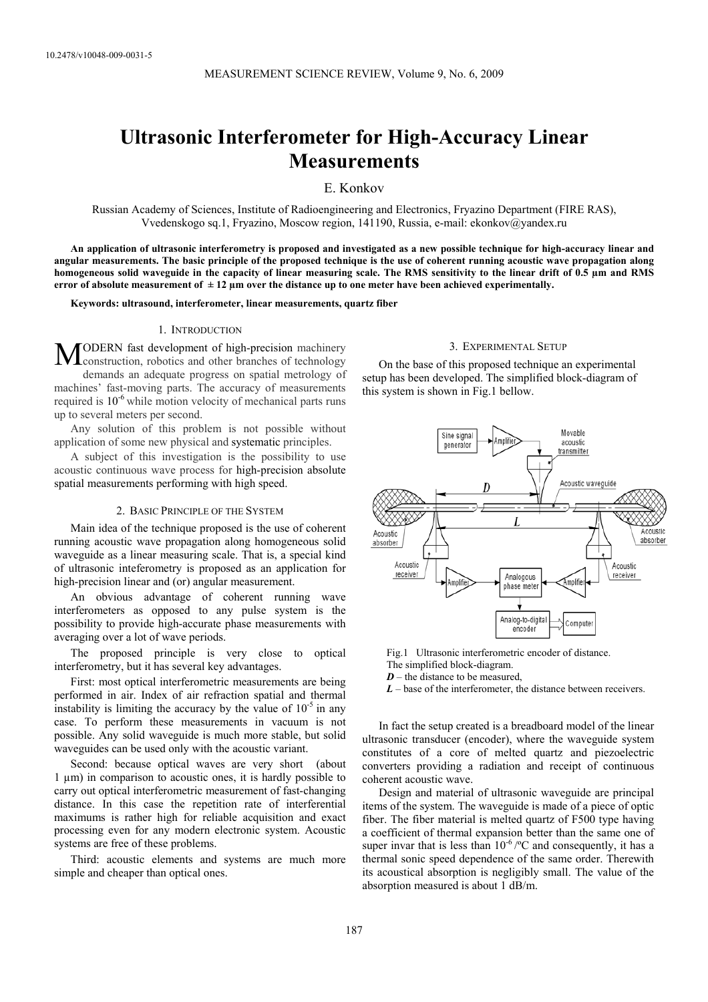# **Ultrasonic Interferometer for High-Accuracy Linear Measurements**

E. Konkov

Russian Academy of Sciences, Institute of Radioengineering and Electronics, Fryazino Department (FIRE RAS), Vvedenskogo sq.1, Fryazino, Moscow region, 141190, Russia, e-mail: ekonkov@yandex.ru

**An application of ultrasonic interferometry is proposed and investigated as a new possible technique for high-accuracy linear and angular measurements. The basic principle of the proposed technique is the use of coherent running acoustic wave propagation along homogeneous solid waveguide in the capacity of linear measuring scale. The RMS sensitivity to the linear drift of 0.5 µm and RMS error of absolute measurement of ± 12 µm over the distance up to one meter have been achieved experimentally.** 

**Keywords: ultrasound, interferometer, linear measurements, quartz fiber**

# 1. INTRODUCTION

MODERN fast development of high-precision machinery construction, robotics and other branches of technology construction, robotics and other branches of technology demands an adequate progress on spatial metrology of machines' fast-moving parts. The accuracy of measurements required is  $10^{-6}$  while motion velocity of mechanical parts runs up to several meters per second.

Any solution of this problem is not possible without application of some new physical and systematic principles.

A subject of this investigation is the possibility to use acoustic continuous wave process for high-precision absolute spatial measurements performing with high speed.

## 2. BASIC PRINCIPLE OF THE SYSTEM

Main idea of the technique proposed is the use of coherent running acoustic wave propagation along homogeneous solid waveguide as a linear measuring scale. That is, a special kind of ultrasonic inteferometry is proposed as an application for high-precision linear and (or) angular measurement.

An obvious advantage of coherent running wave interferometers as opposed to any pulse system is the possibility to provide high-accurate phase measurements with averaging over a lot of wave periods.

The proposed principle is very close to optical interferometry, but it has several key advantages.

First: most optical interferometric measurements are being performed in air. Index of air refraction spatial and thermal instability is limiting the accuracy by the value of  $10^{-5}$  in any case. To perform these measurements in vacuum is not possible. Any solid waveguide is much more stable, but solid waveguides can be used only with the acoustic variant.

Second: because optical waves are very short (about 1 µm) in comparison to acoustic ones, it is hardly possible to carry out optical interferometric measurement of fast-changing distance. In this case the repetition rate of interferential maximums is rather high for reliable acquisition and exact processing even for any modern electronic system. Acoustic systems are free of these problems.

Third: acoustic elements and systems are much more simple and cheaper than optical ones.

# 3. EXPERIMENTAL SETUP

On the base of this proposed technique an experimental setup has been developed. The simplified block-diagram of this system is shown in Fig.1 bellow.



Fig.1 Ultrasonic interferometric encoder of distance.

The simplified block-diagram.

 $D$  – the distance to be measured,

*L* – base of the interferometer, the distance between receivers.

In fact the setup created is a breadboard model of the linear ultrasonic transducer (encoder), where the waveguide system constitutes of a core of melted quartz and piezoelectric converters providing a radiation and receipt of continuous coherent acoustic wave.

Design and material of ultrasonic waveguide are principal items of the system. The waveguide is made of a piece of optic fiber. The fiber material is melted quartz of F500 type having a coefficient of thermal expansion better than the same one of super invar that is less than  $10^{-6}$  /°C and consequently, it has a thermal sonic speed dependence of the same order. Therewith its acoustical absorption is negligibly small. The value of the absorption measured is about 1 dB/m.